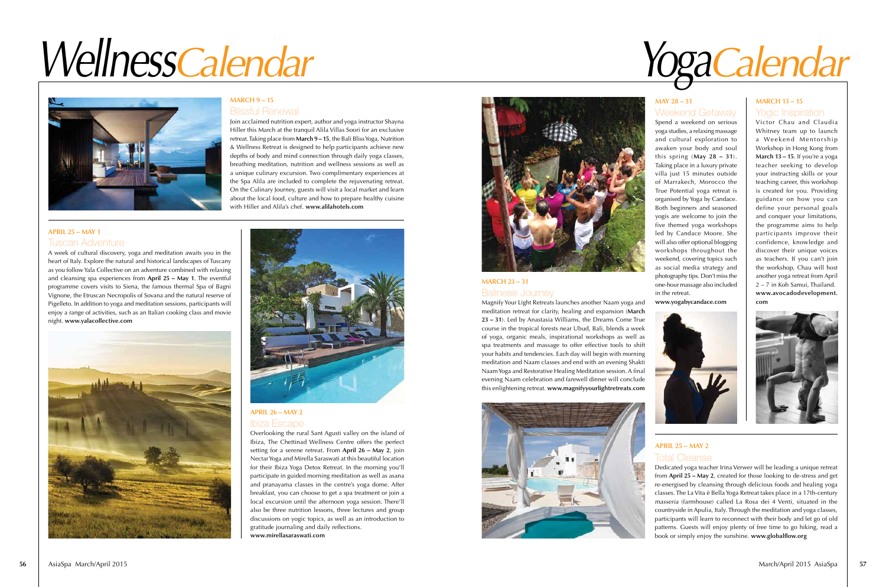

#### Balinese Journey **MARCH 23 – 31**

Magnify Your Light Retreats launches another Naam yoga and meditation retreat for clarity, healing and expansion (**March 23 – 31**). Led by Anastasia Williams, the Dreams Come True course in the tropical forests near Ubud, Bali, blends a week of yoga, organic meals, inspirational workshops as well as spa treatments and massage to offer effective tools to shift your habits and tendencies. Each day will begin with morning meditation and Naam classes and end with an evening Shakti Naam Yoga and Restorative Healing Meditation session. A final evening Naam celebration and farewell dinner will conclude this enlightening retreat. **www.magnifyyourlightretreats.com**



Dedicated yoga teacher Irina Verwer will be leading a unique retreat from **April 25 – May 2**, created for those looking to de-stress and get re-energised by cleansing through delicious foods and healing yoga classes. The La Vita è Bella Yoga Retreat takes place in a 17th-century masseria (farmhouse) called La Rosa dei 4 Venti, situated in the countryside in Apulia, Italy. Through the meditation and yoga classes, participants will learn to reconnect with their body and let go of old patterns. Guests will enjoy plenty of free time to go hiking, read a book or simply enjoy the sunshine. **www.globalflow.org**

# Total Cleanse **APRIL 25 – MAY 2**



## **MAY 28 – 31 MARCH 13 – 15** Weekend Getaway

Victor Chau and Claudia Whitney team up to launch a Weekend Mentorship Workshop in Hong Kong from **March 13 – 15**. If you're a yoga teacher seeking to develop your instructing skills or your teaching career, this workshop is created for you. Providing guidance on how you can define your personal goals and conquer your limitations, the programme aims to help participants improve their confidence, knowledge and discover their unique voices as teachers. If you can't join the workshop, Chau will host another yoga retreat from April 2 – 7 in Koh Samui, Thailand. **www.avocadodevelopment. com**



Spend a weekend on serious yoga studies, a relaxing massage and cultural exploration to awaken your body and soul this spring (**May 28 – 31**). Taking place in a luxury private villa just 15 minutes outside of Marrakech, Morocco the True Potential yoga retreat is organised by Yoga by Candace. Both beginners and seasoned yogis are welcome to join the five themed yoga workshops led by Candace Moore. She will also offer optional blogging workshops throughout the weekend, covering topics such as social media strategy and photography tips. Don't miss the one-hour massage also included in the retreat.

**www.yogabycandace.com**

#### Tuscan Adventure **APRIL 25 – MAY 1**

A week of cultural discovery, yoga and meditation awaits you in the heart of Italy. Explore the natural and historical landscapes of Tuscany as you follow Yala Collective on an adventure combined with relaxing and cleansing spa experiences from **April 25 – May 1**. The eventful programme covers visits to Siena, the famous thermal Spa of Bagni Vignone, the Etruscan Necropolis of Sovana and the natural reserve of Pigelleto. In addition to yoga and meditation sessions, participants will enjoy a range of activities, such as an Italian cooking class and movie night. **www.yalacollective.com** 





#### **APRIL 26 – MAY 2** Ibiza Escape

Overlooking the rural Sant Agusti valley on the island of Ibiza, The Chettinad Wellness Centre offers the perfect setting for a serene retreat. From **April 26 – May 2**, join Nectar Yoga and Mirella Saraswati at this beautiful location for their Ibiza Yoga Detox Retreat. In the morning you'll participate in guided morning meditation as well as asana and pranayama classes in the centre's yoga dome. After breakfast, you can choose to get a spa treatment or join a local excursion until the afternoon yoga session. There'll also be three nutrition lessons, three lectures and group discussions on yogic topics, as well as an introduction to gratitude journaling and daily reflections. **www.mirellasaraswati.com**



# WellnessCalendar YogaCalendar



#### **MARCH 9 – 15**

#### Blissful Renewal

Join acclaimed nutrition expert, author and yoga instructor Shayna Hiller this March at the tranquil Alila Villas Soori for an exclusive retreat. Taking place from **March 9 – 15**, the Bali Bliss Yoga, Nutrition & Wellness Retreat is designed to help participants achieve new depths of body and mind connection through daily yoga classes, breathing meditation, nutrition and wellness sessions as well as a unique culinary excursion. Two complimentary experiences at the Spa Alila are included to complete the rejuvenating retreat. On the Culinary Journey, guests will visit a local market and learn about the local food, culture and how to prepare healthy cuisine with Hiller and Alila's chef. **www.alilahotels.com**